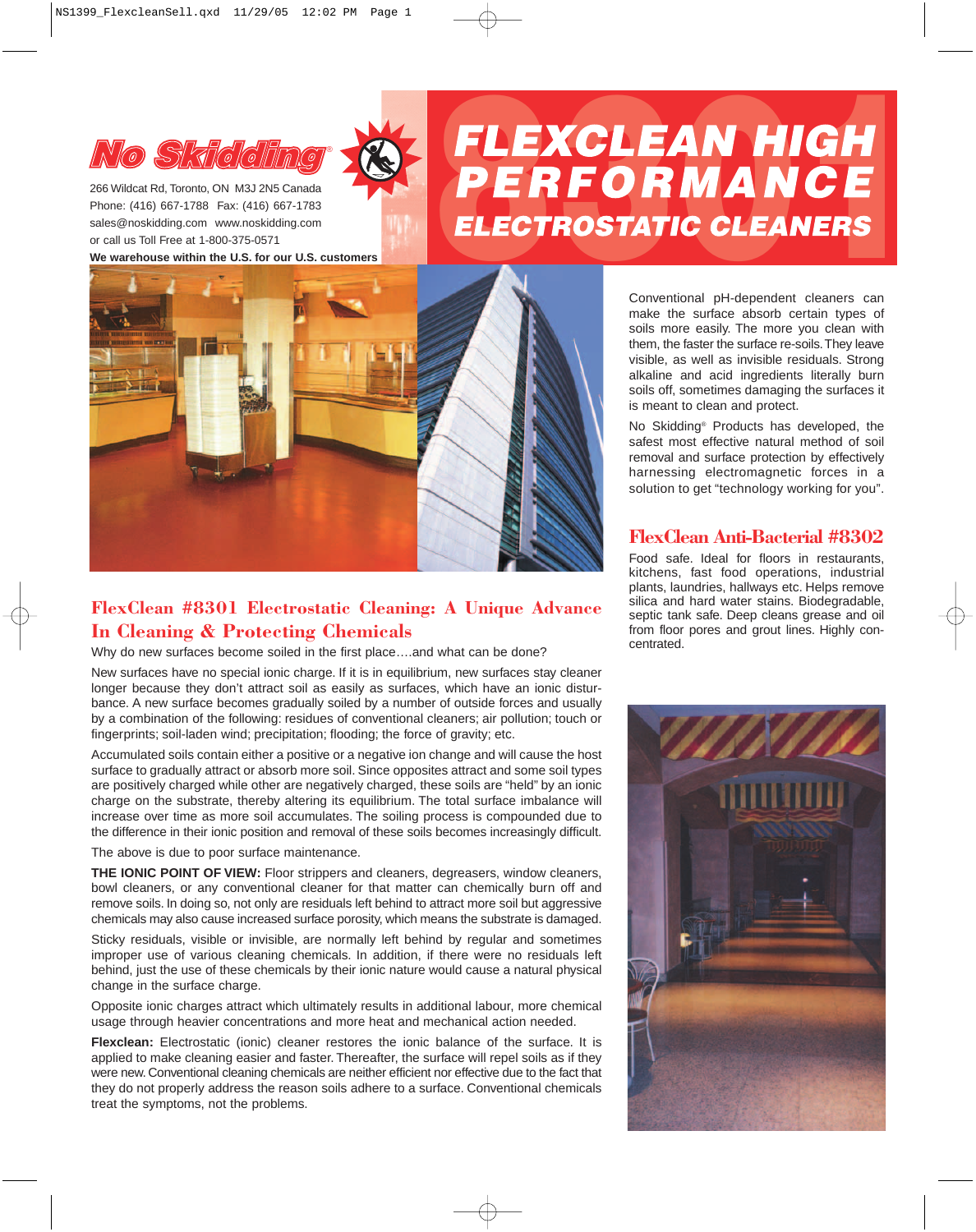

266 Wildcat Rd, Toronto, ON M3J 2N5 Canada Phone: (416) 667-1788 Fax: (416) 667-1783 sales@noskidding.com www.noskidding.com **We warehouse within the U.S. for our U.S. customers**

# *NO* SMICIENC SINGLEAN HIGH<br>
PAGE (416) 667-1788 Fax: (416) 667-1783<br>
Sles@noskidding.com www.noskidding.com<br>
or call us Toll Free at 1-800-375-0571



# **FlexClean #8301 Electrostatic Cleaning: A Unique Advance In Cleaning & Protecting Chemicals**

Why do new surfaces become soiled in the first place....and what can be done?

New surfaces have no special ionic charge. If it is in equilibrium, new surfaces stay cleaner longer because they don't attract soil as easily as surfaces, which have an ionic disturbance. A new surface becomes gradually soiled by a number of outside forces and usually by a combination of the following: residues of conventional cleaners; air pollution; touch or fingerprints; soil-laden wind; precipitation; flooding; the force of gravity; etc.

Accumulated soils contain either a positive or a negative ion change and will cause the host surface to gradually attract or absorb more soil. Since opposites attract and some soil types are positively charged while other are negatively charged, these soils are "held" by an ionic charge on the substrate, thereby altering its equilibrium. The total surface imbalance will increase over time as more soil accumulates. The soiling process is compounded due to the difference in their ionic position and removal of these soils becomes increasingly difficult.

The above is due to poor surface maintenance.

**THE IONIC POINT OF VIEW:** Floor strippers and cleaners, degreasers, window cleaners, bowl cleaners, or any conventional cleaner for that matter can chemically burn off and remove soils. In doing so, not only are residuals left behind to attract more soil but aggressive chemicals may also cause increased surface porosity, which means the substrate is damaged.

Sticky residuals, visible or invisible, are normally left behind by regular and sometimes improper use of various cleaning chemicals. In addition, if there were no residuals left behind, just the use of these chemicals by their ionic nature would cause a natural physical change in the surface charge.

Opposite ionic charges attract which ultimately results in additional labour, more chemical usage through heavier concentrations and more heat and mechanical action needed.

**Flexclean:** Electrostatic (ionic) cleaner restores the ionic balance of the surface. It is applied to make cleaning easier and faster. Thereafter, the surface will repel soils as if they were new. Conventional cleaning chemicals are neither efficient nor effective due to the fact that they do not properly address the reason soils adhere to a surface. Conventional chemicals treat the symptoms, not the problems.

Conventional pH-dependent cleaners can make the surface absorb certain types of soils more easily. The more you clean with them, the faster the surface re-soils.They leave visible, as well as invisible residuals. Strong alkaline and acid ingredients literally burn soils off, sometimes damaging the surfaces it is meant to clean and protect.

No Skidding® Products has developed, the safest most effective natural method of soil removal and surface protection by effectively harnessing electromagnetic forces in a solution to get "technology working for you".

## **FlexClean Anti-Bacterial #8302**

Food safe. Ideal for floors in restaurants, kitchens, fast food operations, industrial plants, laundries, hallways etc. Helps remove silica and hard water stains. Biodegradable, septic tank safe. Deep cleans grease and oil from floor pores and grout lines. Highly concentrated.